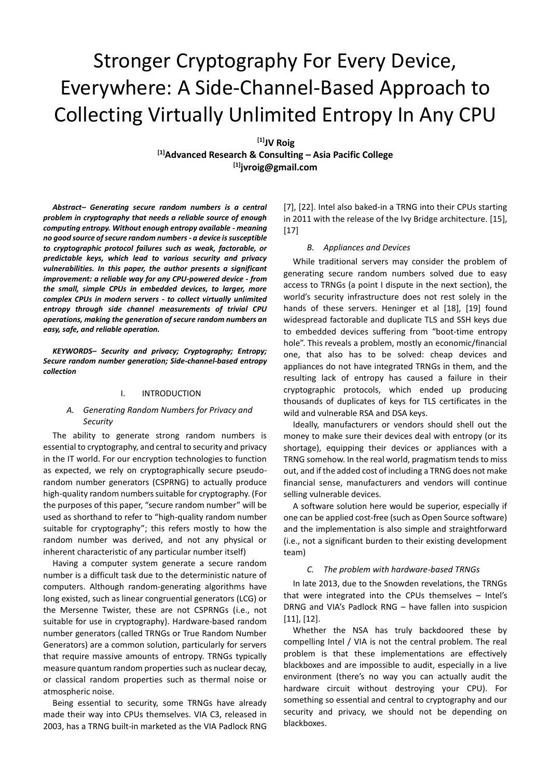# Stronger Cryptography For Every Device, Everywhere: A Side-Channel-Based Approach to Collecting Virtually Unlimited Entropy In Any CPU

**[1]JV Roig**

**[1]Advanced Research & Consulting – Asia Pacific College [1][jvroig@gmail.com](mailto:jvroig@gmail.com)**

*Abstract– Generating secure random numbers is a central problem in cryptography that needs a reliable source of enough computing entropy. Without enough entropy available - meaning no good source of secure random numbers - a device is susceptible to cryptographic protocol failures such as weak, factorable, or predictable keys, which lead to various security and privacy vulnerabilities. In this paper, the author presents a significant improvement: a reliable way for any CPU-powered device - from the small, simple CPUs in embedded devices, to larger, more complex CPUs in modern servers - to collect virtually unlimited entropy through side channel measurements of trivial CPU operations, making the generation of secure random numbers an easy, safe, and reliable operation.*

*KEYWORDS– Security and privacy; Cryptography; Entropy; Secure random number generation; Side-channel-based entropy collection*

# I. INTRODUCTION

# *A. Generating Random Numbers for Privacy and Security*

The ability to generate strong random numbers is essential to cryptography, and central to security and privacy in the IT world. For our encryption technologies to function as expected, we rely on cryptographically secure pseudorandom number generators (CSPRNG) to actually produce high-quality random numbers suitable for cryptography. (For the purposes of this paper, "secure random number" will be used as shorthand to refer to "high-quality random number suitable for cryptography"; this refers mostly to how the random number was derived, and not any physical or inherent characteristic of any particular number itself)

Having a computer system generate a secure random number is a difficult task due to the deterministic nature of computers. Although random-generating algorithms have long existed, such as linear congruential generators (LCG) or the Mersenne Twister, these are not CSPRNGs (i.e., not suitable for use in cryptography). Hardware-based random number generators (called TRNGs or True Random Number Generators) are a common solution, particularly for servers that require massive amounts of entropy. TRNGs typically measure quantum random properties such as nuclear decay, or classical random properties such as thermal noise or atmospheric noise.

Being essential to security, some TRNGs have already made their way into CPUs themselves. VIA C3, released in 2003, has a TRNG built-in marketed as the VIA Padlock RNG [7], [22]. Intel also baked-in a TRNG into their CPUs starting in 2011 with the release of the Ivy Bridge architecture. [15], [17]

#### *B. Appliances and Devices*

While traditional servers may consider the problem of generating secure random numbers solved due to easy access to TRNGs (a point I dispute in the next section), the world's security infrastructure does not rest solely in the hands of these servers. Heninger et al [18], [19] found widespread factorable and duplicate TLS and SSH keys due to embedded devices suffering from "boot-time entropy hole". This reveals a problem, mostly an economic/financial one, that also has to be solved: cheap devices and appliances do not have integrated TRNGs in them, and the resulting lack of entropy has caused a failure in their cryptographic protocols, which ended up producing thousands of duplicates of keys for TLS certificates in the wild and vulnerable RSA and DSA keys.

Ideally, manufacturers or vendors should shell out the money to make sure their devices deal with entropy (or its shortage), equipping their devices or appliances with a TRNG somehow. In the real world, pragmatism tends to miss out, and if the added cost of including a TRNG does not make financial sense, manufacturers and vendors will continue selling vulnerable devices.

A software solution here would be superior, especially if one can be applied cost-free (such as Open Source software) and the implementation is also simple and straightforward (i.e., not a significant burden to their existing development team)

### *C. The problem with hardware-based TRNGs*

In late 2013, due to the Snowden revelations, the TRNGs that were integrated into the CPUs themselves – Intel's DRNG and VIA's Padlock RNG – have fallen into suspicion [11], [12].

Whether the NSA has truly backdoored these by compelling Intel / VIA is not the central problem. The real problem is that these implementations are effectively blackboxes and are impossible to audit, especially in a live environment (there's no way you can actually audit the hardware circuit without destroying your CPU). For something so essential and central to cryptography and our security and privacy, we should not be depending on blackboxes.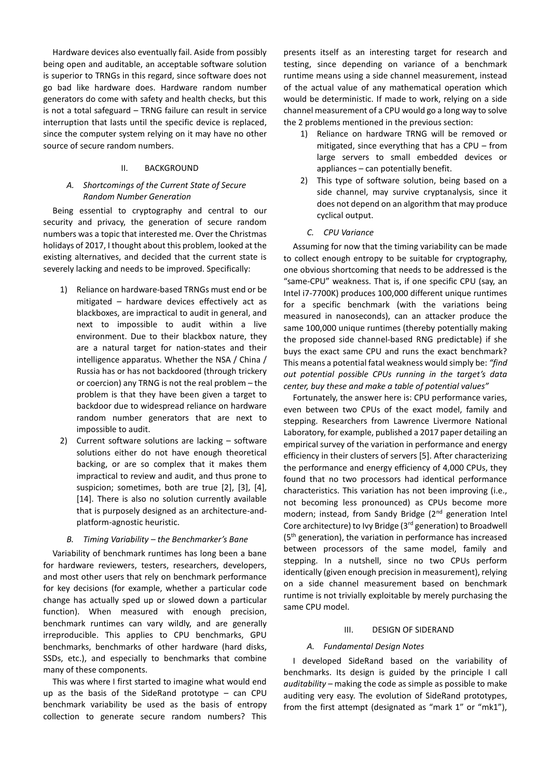Hardware devices also eventually fail. Aside from possibly being open and auditable, an acceptable software solution is superior to TRNGs in this regard, since software does not go bad like hardware does. Hardware random number generators do come with safety and health checks, but this is not a total safeguard – TRNG failure can result in service interruption that lasts until the specific device is replaced, since the computer system relying on it may have no other source of secure random numbers.

#### II. BACKGROUND

# *A. Shortcomings of the Current State of Secure Random Number Generation*

Being essential to cryptography and central to our security and privacy, the generation of secure random numbers was a topic that interested me. Over the Christmas holidays of 2017, I thought about this problem, looked at the existing alternatives, and decided that the current state is severely lacking and needs to be improved. Specifically:

- 1) Reliance on hardware-based TRNGs must end or be mitigated – hardware devices effectively act as blackboxes, are impractical to audit in general, and next to impossible to audit within a live environment. Due to their blackbox nature, they are a natural target for nation-states and their intelligence apparatus. Whether the NSA / China / Russia has or has not backdoored (through trickery or coercion) any TRNG is not the real problem – the problem is that they have been given a target to backdoor due to widespread reliance on hardware random number generators that are next to impossible to audit.
- 2) Current software solutions are lacking software solutions either do not have enough theoretical backing, or are so complex that it makes them impractical to review and audit, and thus prone to suspicion; sometimes, both are true [2], [3], [4], [14]. There is also no solution currently available that is purposely designed as an architecture-andplatform-agnostic heuristic.

#### *B. Timing Variability – the Benchmarker's Bane*

Variability of benchmark runtimes has long been a bane for hardware reviewers, testers, researchers, developers, and most other users that rely on benchmark performance for key decisions (for example, whether a particular code change has actually sped up or slowed down a particular function). When measured with enough precision, benchmark runtimes can vary wildly, and are generally irreproducible. This applies to CPU benchmarks, GPU benchmarks, benchmarks of other hardware (hard disks, SSDs, etc.), and especially to benchmarks that combine many of these components.

This was where I first started to imagine what would end up as the basis of the SideRand prototype – can CPU benchmark variability be used as the basis of entropy collection to generate secure random numbers? This

presents itself as an interesting target for research and testing, since depending on variance of a benchmark runtime means using a side channel measurement, instead of the actual value of any mathematical operation which would be deterministic. If made to work, relying on a side channel measurement of a CPU would go a long way to solve the 2 problems mentioned in the previous section:

- 1) Reliance on hardware TRNG will be removed or mitigated, since everything that has a CPU – from large servers to small embedded devices or appliances – can potentially benefit.
- 2) This type of software solution, being based on a side channel, may survive cryptanalysis, since it does not depend on an algorithm that may produce cyclical output.

#### *C. CPU Variance*

Assuming for now that the timing variability can be made to collect enough entropy to be suitable for cryptography, one obvious shortcoming that needs to be addressed is the "same-CPU" weakness. That is, if one specific CPU (say, an Intel i7-7700K) produces 100,000 different unique runtimes for a specific benchmark (with the variations being measured in nanoseconds), can an attacker produce the same 100,000 unique runtimes (thereby potentially making the proposed side channel-based RNG predictable) if she buys the exact same CPU and runs the exact benchmark? This means a potential fatal weakness would simply be: *"find out potential possible CPUs running in the target's data center, buy these and make a table of potential values"*

Fortunately, the answer here is: CPU performance varies, even between two CPUs of the exact model, family and stepping. Researchers from Lawrence Livermore National Laboratory, for example, published a 2017 paper detailing an empirical survey of the variation in performance and energy efficiency in their clusters of servers [5]. After characterizing the performance and energy efficiency of 4,000 CPUs, they found that no two processors had identical performance characteristics. This variation has not been improving (i.e., not becoming less pronounced) as CPUs become more modern; instead, from Sandy Bridge (2<sup>nd</sup> generation Intel Core architecture) to Ivy Bridge (3rd generation) to Broadwell  $(5<sup>th</sup>$  generation), the variation in performance has increased between processors of the same model, family and stepping. In a nutshell, since no two CPUs perform identically (given enough precision in measurement), relying on a side channel measurement based on benchmark runtime is not trivially exploitable by merely purchasing the same CPU model.

#### III. DESIGN OF SIDERAND

#### *A. Fundamental Design Notes*

I developed SideRand based on the variability of benchmarks. Its design is guided by the principle I call *auditability* – making the code as simple as possible to make auditing very easy. The evolution of SideRand prototypes, from the first attempt (designated as "mark 1" or "mk1"),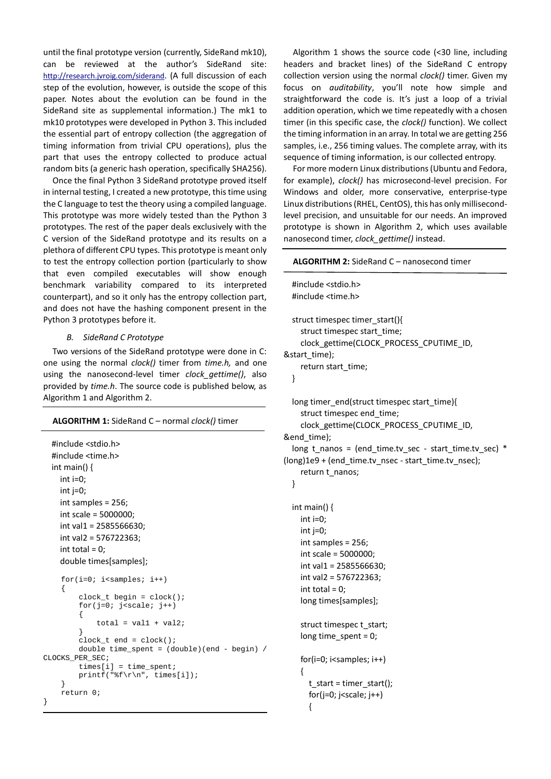until the final prototype version (currently, SideRand mk10), can be reviewed at the author's SideRand site: <http://research.jvroig.com/siderand>. (A full discussion of each step of the evolution, however, is outside the scope of this paper. Notes about the evolution can be found in the SideRand site as supplemental information.) The mk1 to mk10 prototypes were developed in Python 3. This included the essential part of entropy collection (the aggregation of timing information from trivial CPU operations), plus the part that uses the entropy collected to produce actual random bits (a generic hash operation, specifically SHA256).

Once the final Python 3 SideRand prototype proved itself in internal testing, I created a new prototype, this time using the C language to test the theory using a compiled language. This prototype was more widely tested than the Python 3 prototypes. The rest of the paper deals exclusively with the C version of the SideRand prototype and its results on a plethora of different CPU types. This prototype is meant only to test the entropy collection portion (particularly to show that even compiled executables will show enough benchmark variability compared to its interpreted counterpart), and so it only has the entropy collection part, and does not have the hashing component present in the Python 3 prototypes before it.

## *B. SideRand C Prototype*

Two versions of the SideRand prototype were done in C: one using the normal *clock()* timer from *time.h,* and one using the nanosecond-level timer *clock\_gettime()*, also provided by *time.h*. The source code is published below, as Algorithm 1 and Algorithm 2.

## **ALGORITHM 1:** SideRand C – normal *clock()* timer

```
 #include <stdio.h>
   #include <time.h> 
   int main() {
     int i=0;
     int j=0;
     int samples = 256;
     int scale = 5000000;
     int val1 = 2585566630;
     int val2 = 576722363;
    int total = 0;
     double times[samples]; 
    for(i=0; i<samples; i++)
     {
         clock_t begin = clock();
         for(j=0; j<scale; j++) {
             total = val1 + val2; }
         clock_t end = clock();
         double time_spent = (double)(end - begin)CLOCKS_PER_SEC;
         times[i] = time_spent; printf("%f\r\n", times[i]);
     }
     return 0;
}
```
Algorithm 1 shows the source code (<30 line, including headers and bracket lines) of the SideRand C entropy collection version using the normal *clock()* timer. Given my focus on *auditability*, you'll note how simple and straightforward the code is. It's just a loop of a trivial addition operation, which we time repeatedly with a chosen timer (in this specific case, the *clock()* function). We collect the timing information in an array. In total we are getting 256 samples, i.e., 256 timing values. The complete array, with its sequence of timing information, is our collected entropy.

For more modern Linux distributions (Ubuntu and Fedora, for example), *clock()* has microsecond-level precision. For Windows and older, more conservative, enterprise-type Linux distributions (RHEL, CentOS), this has only millisecondlevel precision, and unsuitable for our needs. An improved prototype is shown in Algorithm 2, which uses available nanosecond timer, *clock\_gettime()* instead.

#### **ALGORITHM 2:** SideRand C – nanosecond timer

```
 #include <stdio.h>
   #include <time.h>
   struct timespec timer_start(){
    struct timespec start_time;
     clock_gettime(CLOCK_PROCESS_CPUTIME_ID, 
&start_time);
     return start_time;
   }
   long timer_end(struct timespec start_time){
     struct timespec end_time;
     clock_gettime(CLOCK_PROCESS_CPUTIME_ID, 
&end_time);
   long t_nanos = (end_time.tv_sec - start_time.tv_sec) * 
(long)1e9 + (end_time.tv_nsec - start_time.tv_nsec);
    return t_nanos;
   }
   int main() {
     int i=0;
     int j=0;
     int samples = 256;
     int scale = 5000000;
     int val1 = 2585566630;
     int val2 = 576722363;
    int total = 0;
     long times[samples]; 
     struct timespec t_start;
    long time_spent = 0;
    for(i=0; i<samples; i++)
     {
       t_start = timer_start();
      for(j=0; j<scale; j++)
       {
```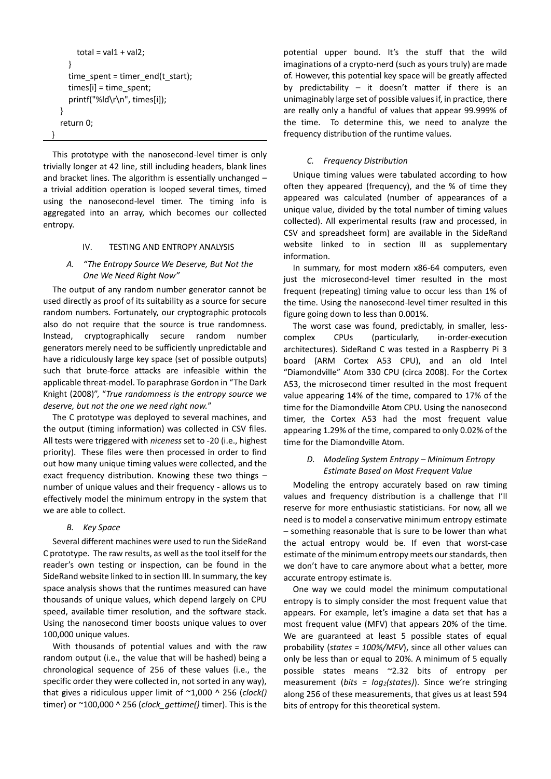```
total = val1 + val2; }
     time_spent = timer_end(t_start);
      times[i] = time_spent;
      printf("%ld\r\n", times[i]);
   }
   return 0;
 }
```
This prototype with the nanosecond-level timer is only trivially longer at 42 line, still including headers, blank lines and bracket lines. The algorithm is essentially unchanged – a trivial addition operation is looped several times, timed using the nanosecond-level timer. The timing info is aggregated into an array, which becomes our collected entropy.

# IV. TESTING AND ENTROPY ANALYSIS

# *A. "The Entropy Source We Deserve, But Not the One We Need Right Now"*

The output of any random number generator cannot be used directly as proof of its suitability as a source for secure random numbers. Fortunately, our cryptographic protocols also do not require that the source is true randomness. Instead, cryptographically secure random number generators merely need to be sufficiently unpredictable and have a ridiculously large key space (set of possible outputs) such that brute-force attacks are infeasible within the applicable threat-model. To paraphrase Gordon in "The Dark Knight (2008)", "*True randomness is the entropy source we deserve, but not the one we need right now.*"

The C prototype was deployed to several machines, and the output (timing information) was collected in CSV files. All tests were triggered with *niceness* set to -20 (i.e., highest priority). These files were then processed in order to find out how many unique timing values were collected, and the exact frequency distribution. Knowing these two things – number of unique values and their frequency - allows us to effectively model the minimum entropy in the system that we are able to collect.

## *B. Key Space*

Several different machines were used to run the SideRand C prototype. The raw results, as well as the tool itself for the reader's own testing or inspection, can be found in the SideRand website linked to in section III. In summary, the key space analysis shows that the runtimes measured can have thousands of unique values, which depend largely on CPU speed, available timer resolution, and the software stack. Using the nanosecond timer boosts unique values to over 100,000 unique values.

With thousands of potential values and with the raw random output (i.e., the value that will be hashed) being a chronological sequence of 256 of these values (i.e., the specific order they were collected in, not sorted in any way), that gives a ridiculous upper limit of ~1,000 ^ 256 (*clock()*  timer) or ~100,000 ^ 256 (*clock\_gettime()* timer). This is the

potential upper bound. It's the stuff that the wild imaginations of a crypto-nerd (such as yours truly) are made of. However, this potential key space will be greatly affected by predictability  $-$  it doesn't matter if there is an unimaginably large set of possible values if, in practice, there are really only a handful of values that appear 99.999% of the time. To determine this, we need to analyze the frequency distribution of the runtime values.

#### *C. Frequency Distribution*

Unique timing values were tabulated according to how often they appeared (frequency), and the % of time they appeared was calculated (number of appearances of a unique value, divided by the total number of timing values collected). All experimental results (raw and processed, in CSV and spreadsheet form) are available in the SideRand website linked to in section III as supplementary information.

In summary, for most modern x86-64 computers, even just the microsecond-level timer resulted in the most frequent (repeating) timing value to occur less than 1% of the time. Using the nanosecond-level timer resulted in this figure going down to less than 0.001%.

The worst case was found, predictably, in smaller, lesscomplex CPUs (particularly, in-order-execution architectures). SideRand C was tested in a Raspberry Pi 3 board (ARM Cortex A53 CPU), and an old Intel "Diamondville" Atom 330 CPU (circa 2008). For the Cortex A53, the microsecond timer resulted in the most frequent value appearing 14% of the time, compared to 17% of the time for the Diamondville Atom CPU. Using the nanosecond timer, the Cortex A53 had the most frequent value appearing 1.29% of the time, compared to only 0.02% of the time for the Diamondville Atom.

# *D. Modeling System Entropy – Minimum Entropy Estimate Based on Most Frequent Value*

Modeling the entropy accurately based on raw timing values and frequency distribution is a challenge that I'll reserve for more enthusiastic statisticians. For now, all we need is to model a conservative minimum entropy estimate – something reasonable that is sure to be lower than what the actual entropy would be. If even that worst-case estimate of the minimum entropy meets our standards, then we don't have to care anymore about what a better, more accurate entropy estimate is.

One way we could model the minimum computational entropy is to simply consider the most frequent value that appears. For example, let's imagine a data set that has a most frequent value (MFV) that appears 20% of the time. We are guaranteed at least 5 possible states of equal probability (*states = 100%/MFV*), since all other values can only be less than or equal to 20%. A minimum of 5 equally possible states means ~2.32 bits of entropy per measurement (*bits = log2(states)*). Since we're stringing along 256 of these measurements, that gives us at least 594 bits of entropy for this theoretical system.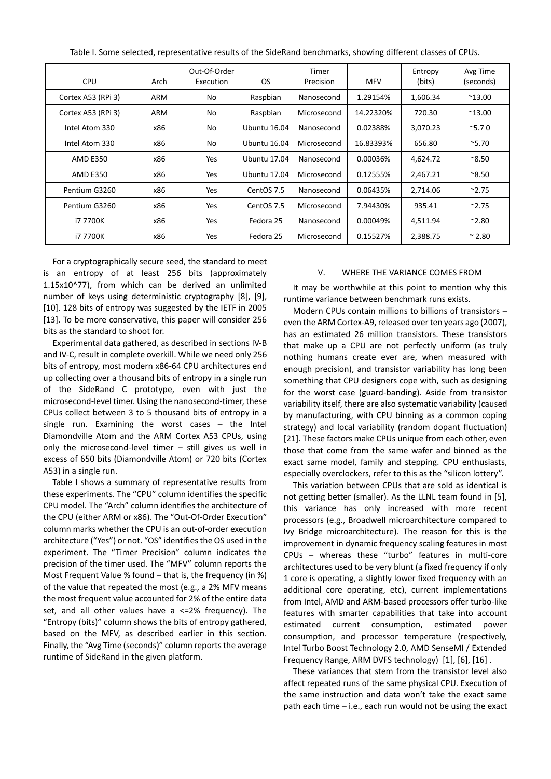| <b>CPU</b>         | Arch | Out-Of-Order<br>Execution | <b>OS</b>           | Timer<br>Precision | <b>MFV</b> | Entropy<br>(bits) | Avg Time<br>(seconds) |
|--------------------|------|---------------------------|---------------------|--------------------|------------|-------------------|-----------------------|
| Cortex A53 (RPi 3) | ARM  | No                        | Raspbian            | Nanosecond         | 1.29154%   | 1,606.34          | $^{\sim}$ 13.00       |
| Cortex A53 (RPi 3) | ARM  | No.                       | Raspbian            | Microsecond        | 14.22320%  | 720.30            | $^{\sim}$ 13.00       |
| Intel Atom 330     | x86  | No                        | Ubuntu 16.04        | Nanosecond         | 0.02388%   | 3,070.23          | $^{\sim}$ 5.70        |
| Intel Atom 330     | x86  | No                        | Ubuntu 16.04        | Microsecond        | 16.83393%  | 656.80            | $^{\sim}5.70$         |
| <b>AMD E350</b>    | x86  | Yes                       | Ubuntu 17.04        | Nanosecond         | 0.00036%   | 4,624.72          | $^{\sim}8.50$         |
| <b>AMD E350</b>    | x86  | <b>Yes</b>                | <b>Ubuntu 17.04</b> | Microsecond        | 0.12555%   | 2,467.21          | $^{\sim}8.50$         |
| Pentium G3260      | x86  | <b>Yes</b>                | CentOS 7.5          | Nanosecond         | 0.06435%   | 2,714.06          | $^{\sim}$ 2.75        |
| Pentium G3260      | x86  | <b>Yes</b>                | CentOS 7.5          | Microsecond        | 7.94430%   | 935.41            | $^{\sim}$ 2.75        |
| i7 7700K           | x86  | <b>Yes</b>                | Fedora 25           | Nanosecond         | 0.00049%   | 4,511.94          | $^{\sim}$ 2.80        |
| i7 7700K           | x86  | Yes                       | Fedora 25           | Microsecond        | 0.15527%   | 2,388.75          | $~^{\sim}$ 2.80       |

Table I. Some selected, representative results of the SideRand benchmarks, showing different classes of CPUs.

For a cryptographically secure seed, the standard to meet is an entropy of at least 256 bits (approximately 1.15x10^77), from which can be derived an unlimited number of keys using deterministic cryptography [8], [9], [10]. 128 bits of entropy was suggested by the IETF in 2005 [13]. To be more conservative, this paper will consider 256 bits as the standard to shoot for.

Experimental data gathered, as described in sections IV-B and IV-C, result in complete overkill. While we need only 256 bits of entropy, most modern x86-64 CPU architectures end up collecting over a thousand bits of entropy in a single run of the SideRand C prototype, even with just the microsecond-level timer. Using the nanosecond-timer, these CPUs collect between 3 to 5 thousand bits of entropy in a single run. Examining the worst cases – the Intel Diamondville Atom and the ARM Cortex A53 CPUs, using only the microsecond-level timer – still gives us well in excess of 650 bits (Diamondville Atom) or 720 bits (Cortex A53) in a single run.

Table I shows a summary of representative results from these experiments. The "CPU" column identifies the specific CPU model. The "Arch" column identifies the architecture of the CPU (either ARM or x86). The "Out-Of-Order Execution" column marks whether the CPU is an out-of-order execution architecture ("Yes") or not. "OS" identifies the OS used in the experiment. The "Timer Precision" column indicates the precision of the timer used. The "MFV" column reports the Most Frequent Value % found – that is, the frequency (in %) of the value that repeated the most (e.g., a 2% MFV means the most frequent value accounted for 2% of the entire data set, and all other values have a  $\leq$ =2% frequency). The "Entropy (bits)" column shows the bits of entropy gathered, based on the MFV, as described earlier in this section. Finally, the "Avg Time (seconds)" column reports the average runtime of SideRand in the given platform.

#### V. WHERE THE VARIANCE COMES FROM

It may be worthwhile at this point to mention why this runtime variance between benchmark runs exists.

Modern CPUs contain millions to billions of transistors – even the ARM Cortex-A9, released over ten years ago (2007), has an estimated 26 million transistors. These transistors that make up a CPU are not perfectly uniform (as truly nothing humans create ever are, when measured with enough precision), and transistor variability has long been something that CPU designers cope with, such as designing for the worst case (guard-banding). Aside from transistor variability itself, there are also systematic variability (caused by manufacturing, with CPU binning as a common coping strategy) and local variability (random dopant fluctuation) [21]. These factors make CPUs unique from each other, even those that come from the same wafer and binned as the exact same model, family and stepping. CPU enthusiasts, especially overclockers, refer to this as the "silicon lottery".

This variation between CPUs that are sold as identical is not getting better (smaller). As the LLNL team found in [5], this variance has only increased with more recent processors (e.g., Broadwell microarchitecture compared to Ivy Bridge microarchitecture). The reason for this is the improvement in dynamic frequency scaling features in most CPUs – whereas these "turbo" features in multi-core architectures used to be very blunt (a fixed frequency if only 1 core is operating, a slightly lower fixed frequency with an additional core operating, etc), current implementations from Intel, AMD and ARM-based processors offer turbo-like features with smarter capabilities that take into account estimated current consumption, estimated power consumption, and processor temperature (respectively, Intel Turbo Boost Technology 2.0, AMD SenseMI / Extended Frequency Range, ARM DVFS technology) [1], [6], [16] .

These variances that stem from the transistor level also affect repeated runs of the same physical CPU. Execution of the same instruction and data won't take the exact same path each time – i.e., each run would not be using the exact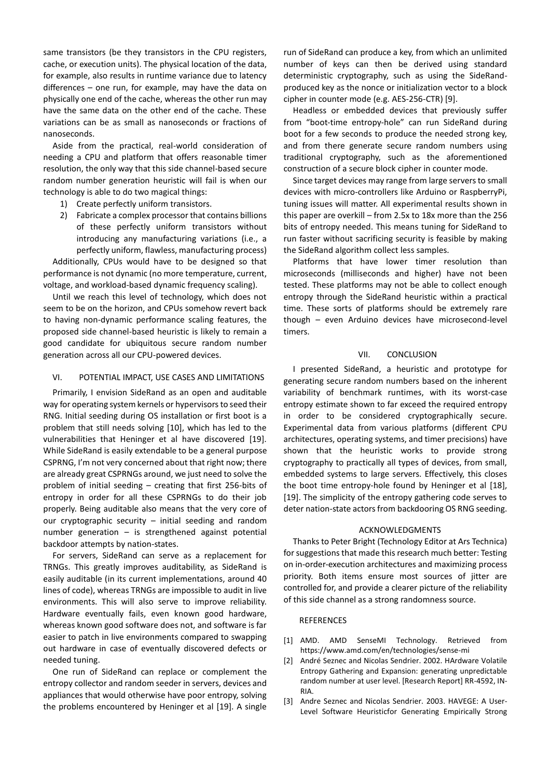same transistors (be they transistors in the CPU registers, cache, or execution units). The physical location of the data, for example, also results in runtime variance due to latency differences – one run, for example, may have the data on physically one end of the cache, whereas the other run may have the same data on the other end of the cache. These variations can be as small as nanoseconds or fractions of nanoseconds.

Aside from the practical, real-world consideration of needing a CPU and platform that offers reasonable timer resolution, the only way that this side channel-based secure random number generation heuristic will fail is when our technology is able to do two magical things:

- 1) Create perfectly uniform transistors.
- 2) Fabricate a complex processor that contains billions of these perfectly uniform transistors without introducing any manufacturing variations (i.e., a perfectly uniform, flawless, manufacturing process)

Additionally, CPUs would have to be designed so that performance is not dynamic (no more temperature, current, voltage, and workload-based dynamic frequency scaling).

Until we reach this level of technology, which does not seem to be on the horizon, and CPUs somehow revert back to having non-dynamic performance scaling features, the proposed side channel-based heuristic is likely to remain a good candidate for ubiquitous secure random number generation across all our CPU-powered devices.

#### VI. POTENTIAL IMPACT, USE CASES AND LIMITATIONS

Primarily, I envision SideRand as an open and auditable way for operating system kernels or hypervisors to seed their RNG. Initial seeding during OS installation or first boot is a problem that still needs solving [10], which has led to the vulnerabilities that Heninger et al have discovered [19]. While SideRand is easily extendable to be a general purpose CSPRNG, I'm not very concerned about that right now; there are already great CSPRNGs around, we just need to solve the problem of initial seeding – creating that first 256-bits of entropy in order for all these CSPRNGs to do their job properly. Being auditable also means that the very core of our cryptographic security – initial seeding and random number generation – is strengthened against potential backdoor attempts by nation-states.

For servers, SideRand can serve as a replacement for TRNGs. This greatly improves auditability, as SideRand is easily auditable (in its current implementations, around 40 lines of code), whereas TRNGs are impossible to audit in live environments. This will also serve to improve reliability. Hardware eventually fails, even known good hardware, whereas known good software does not, and software is far easier to patch in live environments compared to swapping out hardware in case of eventually discovered defects or needed tuning.

One run of SideRand can replace or complement the entropy collector and random seeder in servers, devices and appliances that would otherwise have poor entropy, solving the problems encountered by Heninger et al [19]. A single

run of SideRand can produce a key, from which an unlimited number of keys can then be derived using standard deterministic cryptography, such as using the SideRandproduced key as the nonce or initialization vector to a block cipher in counter mode (e.g. AES-256-CTR) [9].

Headless or embedded devices that previously suffer from "boot-time entropy-hole" can run SideRand during boot for a few seconds to produce the needed strong key, and from there generate secure random numbers using traditional cryptography, such as the aforementioned construction of a secure block cipher in counter mode.

Since target devices may range from large servers to small devices with micro-controllers like Arduino or RaspberryPi, tuning issues will matter. All experimental results shown in this paper are overkill – from 2.5x to 18x more than the 256 bits of entropy needed. This means tuning for SideRand to run faster without sacrificing security is feasible by making the SideRand algorithm collect less samples.

Platforms that have lower timer resolution than microseconds (milliseconds and higher) have not been tested. These platforms may not be able to collect enough entropy through the SideRand heuristic within a practical time. These sorts of platforms should be extremely rare though – even Arduino devices have microsecond-level timers.

#### VII. CONCLUSION

I presented SideRand, a heuristic and prototype for generating secure random numbers based on the inherent variability of benchmark runtimes, with its worst-case entropy estimate shown to far exceed the required entropy in order to be considered cryptographically secure. Experimental data from various platforms (different CPU architectures, operating systems, and timer precisions) have shown that the heuristic works to provide strong cryptography to practically all types of devices, from small, embedded systems to large servers. Effectively, this closes the boot time entropy-hole found by Heninger et al [18], [19]. The simplicity of the entropy gathering code serves to deter nation-state actors from backdooring OS RNG seeding.

#### ACKNOWLEDGMENTS

Thanks to Peter Bright (Technology Editor at Ars Technica) for suggestions that made this research much better: Testing on in-order-execution architectures and maximizing process priority. Both items ensure most sources of jitter are controlled for, and provide a clearer picture of the reliability of this side channel as a strong randomness source.

## **REFERENCES**

- [1] AMD. AMD SenseMI Technology. Retrieved from <https://www.amd.com/en/technologies/sense-mi>
- [2] André Seznec and Nicolas Sendrier. 2002. HArdware Volatile Entropy Gathering and Expansion: generating unpredictable random number at user level. [Research Report] RR-4592, IN-RIA.
- [3] Andre Seznec and Nicolas Sendrier. 2003. HAVEGE: A User-Level Software Heuristicfor Generating Empirically Strong